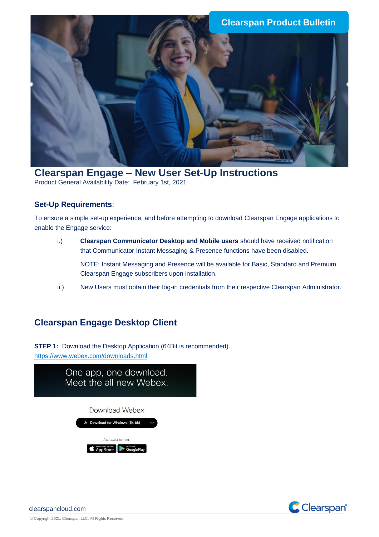

**Clearspan Engage – New User Set-Up Instructions** Product General Availability Date: February 1st, 2021

## **Set-Up Requirements**:

To ensure a simple set-up experience, and before attempting to download Clearspan Engage applications to enable the Engage service:

- i.) **Clearspan Communicator Desktop and Mobile users** should have received notification that Communicator Instant Messaging & Presence functions have been disabled. NOTE: Instant Messaging and Presence will be available for Basic, Standard and Premium Clearspan Engage subscribers upon installation.
- ii.) New Users must obtain their log-in credentials from their respective Clearspan Administrator.

## **Clearspan Engage Desktop Client**

**STEP 1:** Download the Desktop Application (64Bit is recommended) <https://www.webex.com/downloads.html>



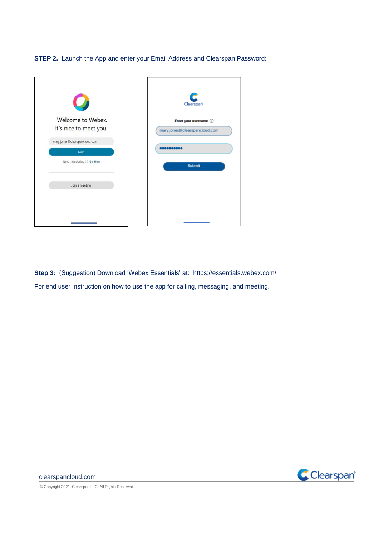**STEP 2.** Launch the App and enter your Email Address and Clearspan Password:



**Step 3:** (Suggestion) Download 'Webex Essentials' at: <https://essentials.webex.com/> For end user instruction on how to use the app for calling, messaging, and meeting.



© Copyright 2021, Clearspan LLC. All Rights Reserved.

clearspancloud.com